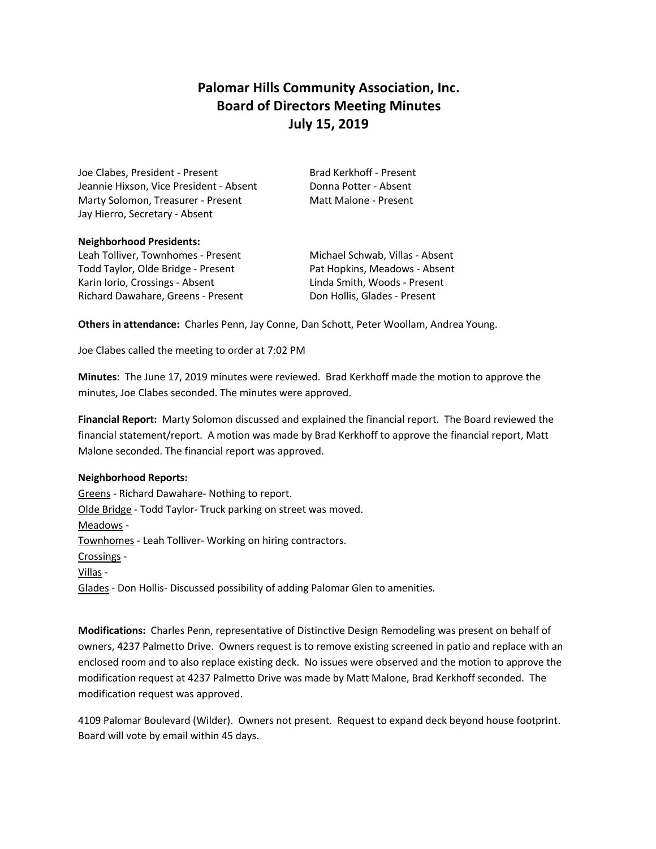# **Palomar Hills Community Association, Inc. Board of Directors Meeting Minutes July 15, 2019**

Joe Clabes, President - Present Brad Kerkhoff - Present Jeannie Hixson, Vice President - Absent Donna Potter - Absent Marty Solomon, Treasurer - Present Matt Malone - Present Jay Hierro, Secretary - Absent

#### **Neighborhood Presidents:**

Leah Tolliver, Townhomes - Present Michael Schwab, Villas - Absent Todd Taylor, Olde Bridge - Present Pat Hopkins, Meadows - Absent Karin Iorio, Crossings - Absent Linda Smith, Woods - Present Richard Dawahare, Greens - Present Don Hollis, Glades - Present

**Others in attendance:** Charles Penn, Jay Conne, Dan Schott, Peter Woollam, Andrea Young.

Joe Clabes called the meeting to order at 7:02 PM

**Minutes**: The June 17, 2019 minutes were reviewed. Brad Kerkhoff made the motion to approve the minutes, Joe Clabes seconded. The minutes were approved.

**Financial Report:** Marty Solomon discussed and explained the financial report. The Board reviewed the financial statement/report. A motion was made by Brad Kerkhoff to approve the financial report, Matt Malone seconded. The financial report was approved.

### **Neighborhood Reports:**

Greens - Richard Dawahare- Nothing to report. Olde Bridge - Todd Taylor- Truck parking on street was moved. Meadows - Townhomes - Leah Tolliver- Working on hiring contractors. Crossings - Villas - Glades - Don Hollis- Discussed possibility of adding Palomar Glen to amenities.

**Modifications:** Charles Penn, representative of Distinctive Design Remodeling was present on behalf of owners, 4237 Palmetto Drive. Owners request is to remove existing screened in patio and replace with an enclosed room and to also replace existing deck. No issues were observed and the motion to approve the modification request at 4237 Palmetto Drive was made by Matt Malone, Brad Kerkhoff seconded. The modification request was approved.

4109 Palomar Boulevard (Wilder). Owners not present. Request to expand deck beyond house footprint. Board will vote by email within 45 days.